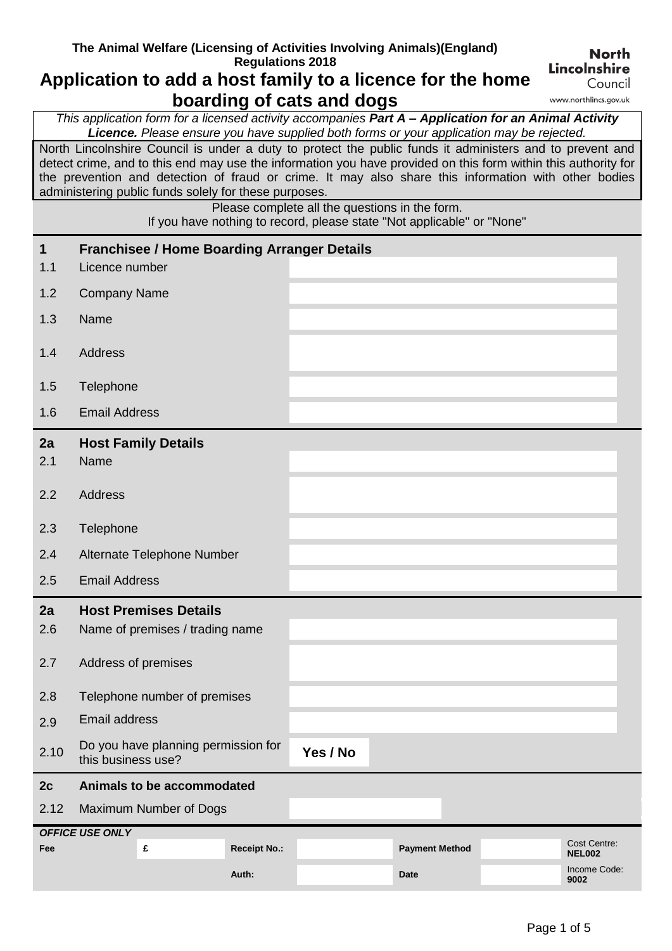## **The Animal Welfare (Licensing of Activities Involving Animals)(England) Regulations 2018**

## **Application to add a host family to a licence for the home boarding of cats and dogs**

**Lincolnshire** Council www.northlincs.gov.uk

**North** 

*This application form for a licensed activity accompanies Part A – Application for an Animal Activity Licence. Please ensure you have supplied both forms or your application may be rejected.*

North Lincolnshire Council is under a duty to protect the public funds it administers and to prevent and detect crime, and to this end may use the information you have provided on this form within this authority for the prevention and detection of fraud or crime. It may also share this information with other bodies administering public funds solely for these purposes.

> Please complete all the questions in the form. If you have nothing to record, please state "Not applicable" or "None"

| $\mathbf 1$<br>1.1 | Licence number                                            | <b>Franchisee / Home Boarding Arranger Details</b> |                     |          |                       |                               |
|--------------------|-----------------------------------------------------------|----------------------------------------------------|---------------------|----------|-----------------------|-------------------------------|
| 1.2                | <b>Company Name</b>                                       |                                                    |                     |          |                       |                               |
| 1.3                | Name                                                      |                                                    |                     |          |                       |                               |
| 1.4                | <b>Address</b>                                            |                                                    |                     |          |                       |                               |
| 1.5                | Telephone                                                 |                                                    |                     |          |                       |                               |
| 1.6                | <b>Email Address</b>                                      |                                                    |                     |          |                       |                               |
| 2a<br>2.1          | Name                                                      | <b>Host Family Details</b>                         |                     |          |                       |                               |
| 2.2                | <b>Address</b>                                            |                                                    |                     |          |                       |                               |
| 2.3                | Telephone                                                 |                                                    |                     |          |                       |                               |
| 2.4                |                                                           | Alternate Telephone Number                         |                     |          |                       |                               |
| 2.5                | <b>Email Address</b>                                      |                                                    |                     |          |                       |                               |
| 2a                 |                                                           | <b>Host Premises Details</b>                       |                     |          |                       |                               |
| 2.6                | Name of premises / trading name                           |                                                    |                     |          |                       |                               |
| 2.7                | Address of premises                                       |                                                    |                     |          |                       |                               |
| 2.8                | Telephone number of premises                              |                                                    |                     |          |                       |                               |
| 2.9                | <b>Email address</b>                                      |                                                    |                     |          |                       |                               |
| 2.10               | Do you have planning permission for<br>this business use? |                                                    |                     | Yes / No |                       |                               |
| 2c                 | Animals to be accommodated                                |                                                    |                     |          |                       |                               |
| 2.12               | Maximum Number of Dogs                                    |                                                    |                     |          |                       |                               |
| Fee                | <b>OFFICE USE ONLY</b>                                    | £                                                  | <b>Receipt No.:</b> |          | <b>Payment Method</b> | Cost Centre:                  |
|                    |                                                           |                                                    | Auth:               |          | <b>Date</b>           | <b>NEL002</b><br>Income Code: |
|                    |                                                           |                                                    |                     |          |                       | 9002                          |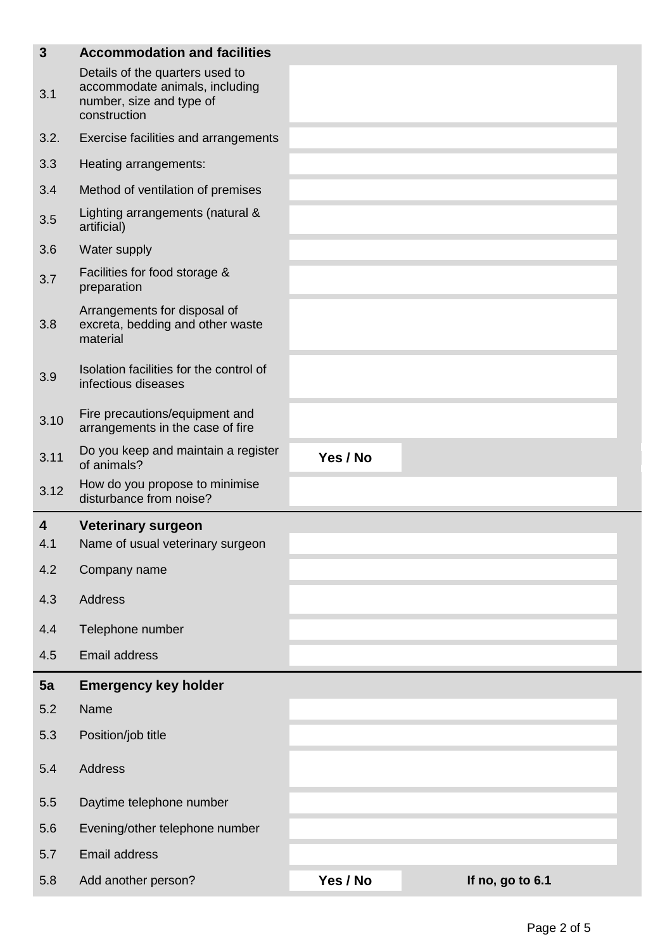| $\mathbf{3}$ | <b>Accommodation and facilities</b>                                                                           |          |                  |
|--------------|---------------------------------------------------------------------------------------------------------------|----------|------------------|
| 3.1          | Details of the quarters used to<br>accommodate animals, including<br>number, size and type of<br>construction |          |                  |
| 3.2.         | Exercise facilities and arrangements                                                                          |          |                  |
| 3.3          | Heating arrangements:                                                                                         |          |                  |
| 3.4          | Method of ventilation of premises                                                                             |          |                  |
| 3.5          | Lighting arrangements (natural &<br>artificial)                                                               |          |                  |
| 3.6          | Water supply                                                                                                  |          |                  |
| 3.7          | Facilities for food storage &<br>preparation                                                                  |          |                  |
| 3.8          | Arrangements for disposal of<br>excreta, bedding and other waste<br>material                                  |          |                  |
| 3.9          | Isolation facilities for the control of<br>infectious diseases                                                |          |                  |
| 3.10         | Fire precautions/equipment and<br>arrangements in the case of fire                                            |          |                  |
| 3.11         | Do you keep and maintain a register<br>of animals?                                                            | Yes / No |                  |
| 3.12         | How do you propose to minimise<br>disturbance from noise?                                                     |          |                  |
| 4            | <b>Veterinary surgeon</b>                                                                                     |          |                  |
| 4.1          | Name of usual veterinary surgeon                                                                              |          |                  |
| 4.2          | Company name                                                                                                  |          |                  |
| 4.3          | Address                                                                                                       |          |                  |
| 4.4          | Telephone number                                                                                              |          |                  |
| 4.5          | <b>Email address</b>                                                                                          |          |                  |
| 5a           | <b>Emergency key holder</b>                                                                                   |          |                  |
| 5.2          | Name                                                                                                          |          |                  |
| 5.3          | Position/job title                                                                                            |          |                  |
| 5.4          | <b>Address</b>                                                                                                |          |                  |
| 5.5          | Daytime telephone number                                                                                      |          |                  |
| 5.6          | Evening/other telephone number                                                                                |          |                  |
| 5.7          | <b>Email address</b>                                                                                          |          |                  |
| 5.8          | Add another person?                                                                                           | Yes / No | If no, go to 6.1 |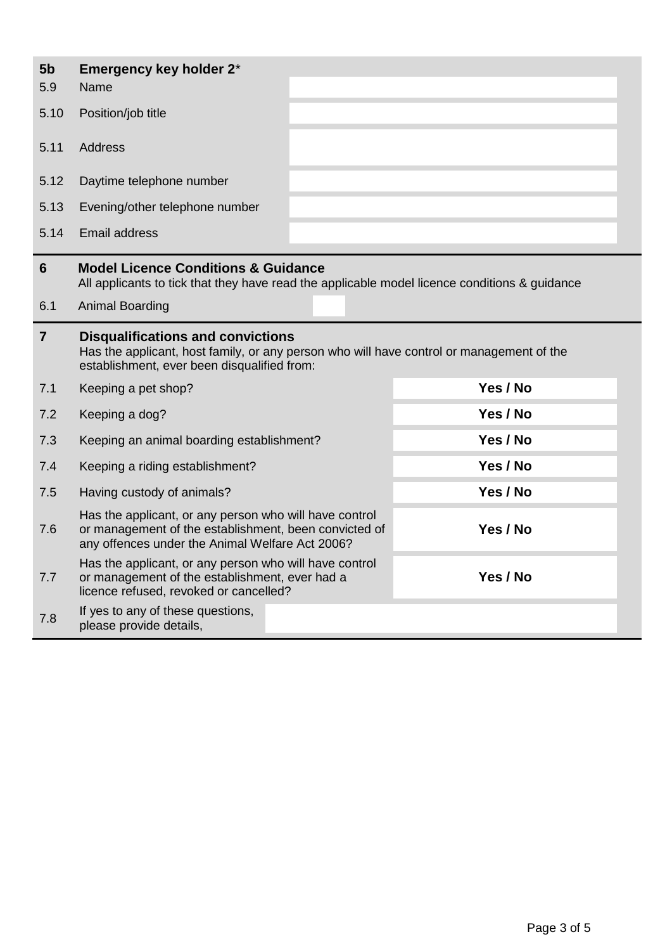| 5 <sub>b</sub><br>5.9 | Emergency key holder 2*<br>Name                                                                                                                                                     |          |
|-----------------------|-------------------------------------------------------------------------------------------------------------------------------------------------------------------------------------|----------|
| 5.10                  | Position/job title                                                                                                                                                                  |          |
| 5.11                  | Address                                                                                                                                                                             |          |
| 5.12                  | Daytime telephone number                                                                                                                                                            |          |
| 5.13                  | Evening/other telephone number                                                                                                                                                      |          |
| 5.14                  | Email address                                                                                                                                                                       |          |
| 6                     | <b>Model Licence Conditions &amp; Guidance</b><br>All applicants to tick that they have read the applicable model licence conditions & guidance                                     |          |
| 6.1                   | <b>Animal Boarding</b>                                                                                                                                                              |          |
|                       |                                                                                                                                                                                     |          |
| $\overline{7}$        | <b>Disqualifications and convictions</b><br>Has the applicant, host family, or any person who will have control or management of the<br>establishment, ever been disqualified from: |          |
| 7.1                   | Keeping a pet shop?                                                                                                                                                                 | Yes / No |
| 7.2                   | Keeping a dog?                                                                                                                                                                      | Yes / No |
| 7.3                   | Keeping an animal boarding establishment?                                                                                                                                           | Yes / No |
| 7.4                   | Keeping a riding establishment?                                                                                                                                                     | Yes / No |
| 7.5                   | Having custody of animals?                                                                                                                                                          | Yes / No |
| 7.6                   | Has the applicant, or any person who will have control<br>or management of the establishment, been convicted of<br>any offences under the Animal Welfare Act 2006?                  | Yes / No |

licence refused, revoked or cancelled?

7.8 If yes to any of these questions,<br>please provide details,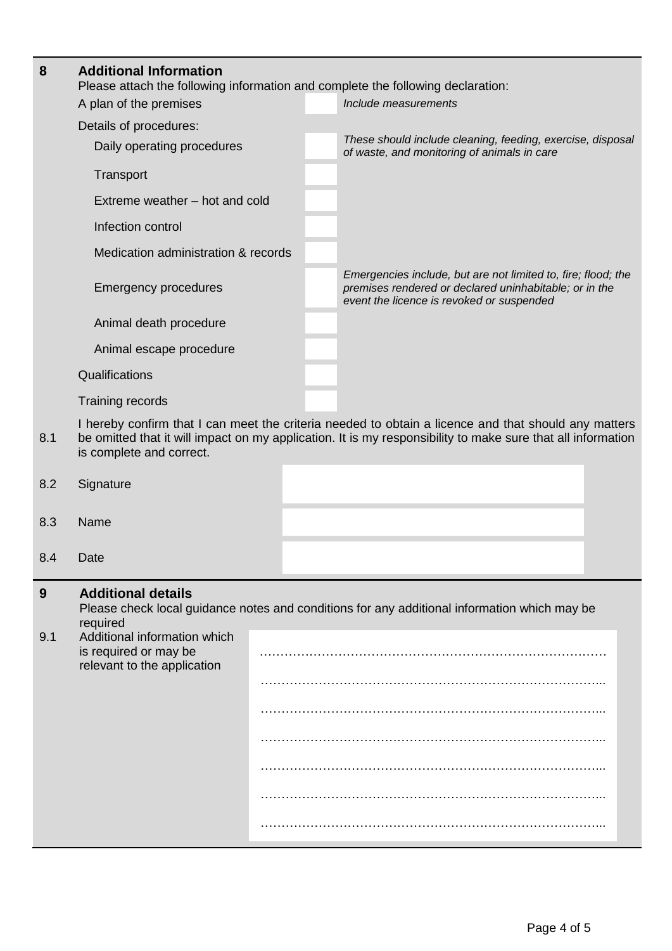| 8        | <b>Additional Information</b><br>Please attach the following information and complete the following declaration:              |  |                                                                                                                                                                                                                     |  |  |  |
|----------|-------------------------------------------------------------------------------------------------------------------------------|--|---------------------------------------------------------------------------------------------------------------------------------------------------------------------------------------------------------------------|--|--|--|
|          | A plan of the premises                                                                                                        |  | Include measurements                                                                                                                                                                                                |  |  |  |
|          | Details of procedures:                                                                                                        |  |                                                                                                                                                                                                                     |  |  |  |
|          | Daily operating procedures                                                                                                    |  | These should include cleaning, feeding, exercise, disposal<br>of waste, and monitoring of animals in care                                                                                                           |  |  |  |
|          | Transport                                                                                                                     |  |                                                                                                                                                                                                                     |  |  |  |
|          | Extreme weather – hot and cold                                                                                                |  |                                                                                                                                                                                                                     |  |  |  |
|          | Infection control                                                                                                             |  |                                                                                                                                                                                                                     |  |  |  |
|          | Medication administration & records                                                                                           |  |                                                                                                                                                                                                                     |  |  |  |
|          | <b>Emergency procedures</b>                                                                                                   |  | Emergencies include, but are not limited to, fire; flood; the<br>premises rendered or declared uninhabitable; or in the<br>event the licence is revoked or suspended                                                |  |  |  |
|          | Animal death procedure                                                                                                        |  |                                                                                                                                                                                                                     |  |  |  |
|          | Animal escape procedure                                                                                                       |  |                                                                                                                                                                                                                     |  |  |  |
|          | Qualifications                                                                                                                |  |                                                                                                                                                                                                                     |  |  |  |
|          | Training records                                                                                                              |  |                                                                                                                                                                                                                     |  |  |  |
| 8.1      | is complete and correct.                                                                                                      |  | I hereby confirm that I can meet the criteria needed to obtain a licence and that should any matters<br>be omitted that it will impact on my application. It is my responsibility to make sure that all information |  |  |  |
| 8.2      | Signature                                                                                                                     |  |                                                                                                                                                                                                                     |  |  |  |
| 8.3      | Name                                                                                                                          |  |                                                                                                                                                                                                                     |  |  |  |
| 8.4      | Date                                                                                                                          |  |                                                                                                                                                                                                                     |  |  |  |
| 9<br>9.1 | <b>Additional details</b><br>required<br>Additional information which<br>is required or may be<br>relevant to the application |  | Please check local guidance notes and conditions for any additional information which may be                                                                                                                        |  |  |  |
|          |                                                                                                                               |  |                                                                                                                                                                                                                     |  |  |  |